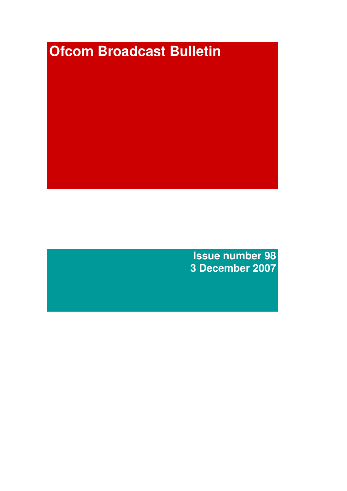# **Ofcom Broadcast Bulletin**

**Issue number 98 3 December 2007**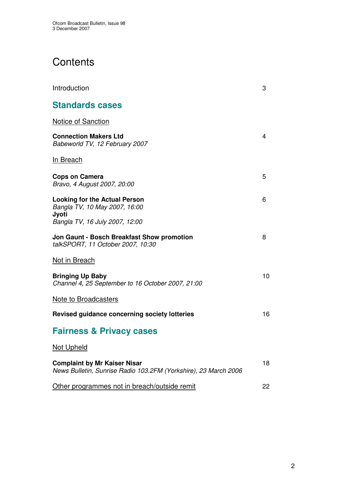# **Contents**

| Introduction                                                                                           | 3  |
|--------------------------------------------------------------------------------------------------------|----|
| <b>Standards cases</b>                                                                                 |    |
| <b>Notice of Sanction</b>                                                                              |    |
| <b>Connection Makers Ltd</b><br>Babeworld TV, 12 February 2007                                         | 4  |
| <b>In Breach</b>                                                                                       |    |
| <b>Cops on Camera</b><br>Bravo, 4 August 2007, 20:00                                                   | 5  |
| <b>Looking for the Actual Person</b><br>Bangla TV, 10 May 2007, 16:00<br>Jyoti                         | 6  |
| Bangla TV, 16 July 2007, 12:00                                                                         |    |
| Jon Gaunt - Bosch Breakfast Show promotion<br>talkSPORT, 11 October 2007, 10:30                        | 8  |
| Not in Breach                                                                                          |    |
| <b>Bringing Up Baby</b><br>Channel 4, 25 September to 16 October 2007, 21:00                           | 10 |
| <b>Note to Broadcasters</b>                                                                            |    |
| Revised guidance concerning society lotteries                                                          | 16 |
| <b>Fairness &amp; Privacy cases</b>                                                                    |    |
| Not Upheld                                                                                             |    |
| <b>Complaint by Mr Kaiser Nisar</b><br>News Bulletin, Sunrise Radio 103.2FM (Yorkshire), 23 March 2006 | 18 |
| Other programmes not in breach/outside remit                                                           | 22 |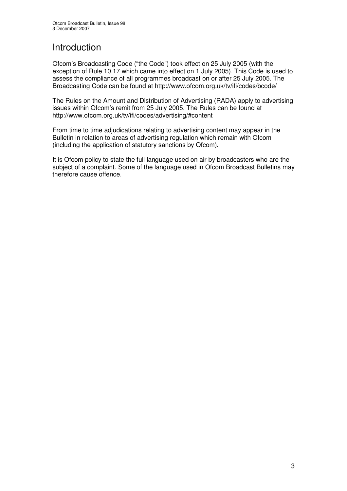# Introduction

Ofcom's Broadcasting Code ("the Code") took effect on 25 July 2005 (with the exception of Rule 10.17 which came into effect on 1 July 2005). This Code is used to assess the compliance of all programmes broadcast on or after 25 July 2005. The Broadcasting Code can be found at http://www.ofcom.org.uk/tv/ifi/codes/bcode/

The Rules on the Amount and Distribution of Advertising (RADA) apply to advertising issues within Ofcom's remit from 25 July 2005. The Rules can be found at http://www.ofcom.org.uk/tv/ifi/codes/advertising/#content

From time to time adjudications relating to advertising content may appear in the Bulletin in relation to areas of advertising regulation which remain with Ofcom (including the application of statutory sanctions by Ofcom).

It is Ofcom policy to state the full language used on air by broadcasters who are the subject of a complaint. Some of the language used in Ofcom Broadcast Bulletins may therefore cause offence.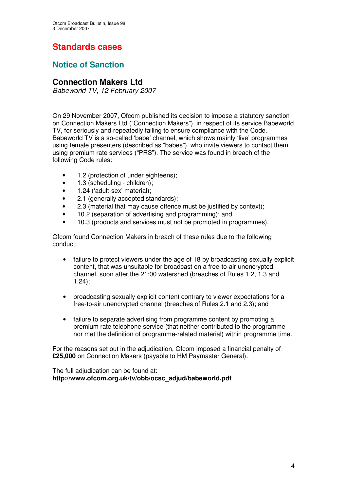# **Standards cases**

## **Notice of Sanction**

## **Connection Makers Ltd**

*Babeworld TV, 12 February 2007*

On 29 November 2007, Ofcom published its decision to impose a statutory sanction on Connection Makers Ltd ("Connection Makers"), in respect of its service Babeworld TV, for seriously and repeatedly failing to ensure compliance with the Code. Babeworld TV is a so-called 'babe' channel, which shows mainly 'live' programmes using female presenters (described as "babes"), who invite viewers to contact them using premium rate services ("PRS"). The service was found in breach of the following Code rules:

- 1.2 (protection of under eighteens);
- 1.3 (scheduling children);
- 1.24 ('adult-sex' material);
- 2.1 (generally accepted standards);
- 2.3 (material that may cause offence must be justified by context);
- 10.2 (separation of advertising and programming); and
- 10.3 (products and services must not be promoted in programmes).

Ofcom found Connection Makers in breach of these rules due to the following conduct:

- failure to protect viewers under the age of 18 by broadcasting sexually explicit content, that was unsuitable for broadcast on a free-to-air unencrypted channel, soon after the 21:00 watershed (breaches of Rules 1.2, 1.3 and 1.24);
- broadcasting sexually explicit content contrary to viewer expectations for a free-to-air unencrypted channel (breaches of Rules 2.1 and 2.3); and
- failure to separate advertising from programme content by promoting a premium rate telephone service (that neither contributed to the programme nor met the definition of programme-related material) within programme time.

For the reasons set out in the adjudication, Ofcom imposed a financial penalty of **£25,000** on Connection Makers (payable to HM Paymaster General).

The full adjudication can be found at: **http://www.ofcom.org.uk/tv/obb/ocsc\_adjud/babeworld.pdf**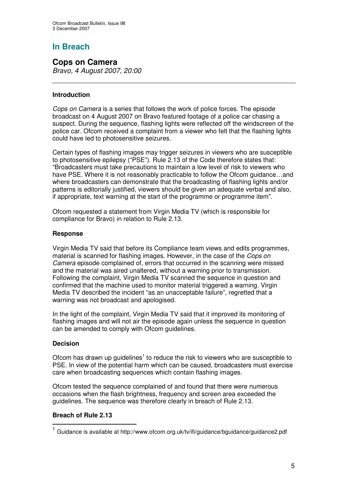## **In Breach**

**Cops on Camera** *Bravo, 4 August 2007, 20:00*

#### **Introduction**

*Cops on Camera* is a series that follows the work of police forces. The episode broadcast on 4 August 2007 on Bravo featured footage of a police car chasing a suspect. During the sequence, flashing lights were reflected off the windscreen of the police car. Ofcom received a complaint from a viewer who felt that the flashing lights could have led to photosensitive seizures.

Certain types of flashing images may trigger seizures in viewers who are susceptible to photosensitive epilepsy ("PSE"). Rule 2.13 of the Code therefore states that: "Broadcasters must take precautions to maintain a low level of risk to viewers who have PSE. Where it is not reasonably practicable to follow the Ofcom guidance…and where broadcasters can demonstrate that the broadcasting of flashing lights and/or patterns is editorially justified, viewers should be given an adequate verbal and also, if appropriate, text warning at the start of the programme or programme item".

Ofcom requested a statement from Virgin Media TV (which is responsible for compliance for Bravo) in relation to Rule 2.13.

#### **Response**

Virgin Media TV said that before its Compliance team views and edits programmes, material is scanned for flashing images. However, in the case of the *Cops on Camera* episode complained of, errors that occurred in the scanning were missed and the material was aired unaltered, without a warning prior to transmission. Following the complaint, Virgin Media TV scanned the sequence in question and confirmed that the machine used to monitor material triggered a warning. Virgin Media TV described the incident "as an unacceptable failure", regretted that a warning was not broadcast and apologised.

In the light of the complaint, Virgin Media TV said that it improved its monitoring of flashing images and will not air the episode again unless the sequence in question can be amended to comply with Ofcom guidelines.

#### **Decision**

Ofcom has drawn up guidelines<sup>1</sup> to reduce the risk to viewers who are susceptible to PSE. In view of the potential harm which can be caused, broadcasters must exercise care when broadcasting sequences which contain flashing images.

Ofcom tested the sequence complained of and found that there were numerous occasions when the flash brightness, frequency and screen area exceeded the guidelines. The sequence was therefore clearly in breach of Rule 2.13.

#### **Breach of Rule 2.13**

<sup>1</sup> Guidance is available at http://www.ofcom.org.uk/tv/ifi/guidance/bguidance/guidance2.pdf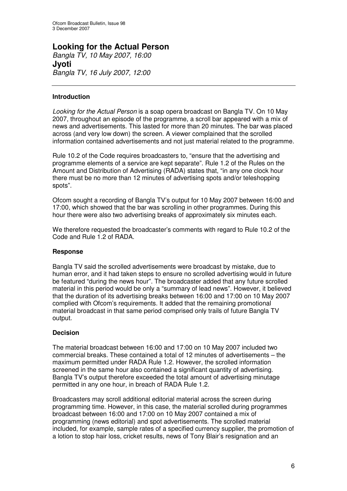# **Looking for the Actual Person**

*Bangla TV, 10 May 2007, 16:00* **Jyoti** *Bangla TV, 16 July 2007, 12:00*

#### **Introduction**

*Looking for the Actual Person* is a soap opera broadcast on Bangla TV. On 10 May 2007, throughout an episode of the programme, a scroll bar appeared with a mix of news and advertisements. This lasted for more than 20 minutes. The bar was placed across (and very low down) the screen. A viewer complained that the scrolled information contained advertisements and not just material related to the programme.

Rule 10.2 of the Code requires broadcasters to, "ensure that the advertising and programme elements of a service are kept separate". Rule 1.2 of the Rules on the Amount and Distribution of Advertising (RADA) states that, "in any one clock hour there must be no more than 12 minutes of advertising spots and/or teleshopping spots".

Ofcom sought a recording of Bangla TV's output for 10 May 2007 between 16:00 and 17:00, which showed that the bar was scrolling in other programmes. During this hour there were also two advertising breaks of approximately six minutes each.

We therefore requested the broadcaster's comments with regard to Rule 10.2 of the Code and Rule 1.2 of RADA.

#### **Response**

Bangla TV said the scrolled advertisements were broadcast by mistake, due to human error, and it had taken steps to ensure no scrolled advertising would in future be featured "during the news hour". The broadcaster added that any future scrolled material in this period would be only a "summary of lead news". However, it believed that the duration of its advertising breaks between 16:00 and 17:00 on 10 May 2007 complied with Ofcom's requirements. It added that the remaining promotional material broadcast in that same period comprised only trails of future Bangla TV output.

#### **Decision**

The material broadcast between 16:00 and 17:00 on 10 May 2007 included two commercial breaks. These contained a total of 12 minutes of advertisements – the maximum permitted under RADA Rule 1.2. However, the scrolled information screened in the same hour also contained a significant quantity of advertising. Bangla TV's output therefore exceeded the total amount of advertising minutage permitted in any one hour, in breach of RADA Rule 1.2.

Broadcasters may scroll additional editorial material across the screen during programming time. However, in this case, the material scrolled during programmes broadcast between 16:00 and 17:00 on 10 May 2007 contained a mix of programming (news editorial) and spot advertisements. The scrolled material included, for example, sample rates of a specified currency supplier, the promotion of a lotion to stop hair loss, cricket results, news of Tony Blair's resignation and an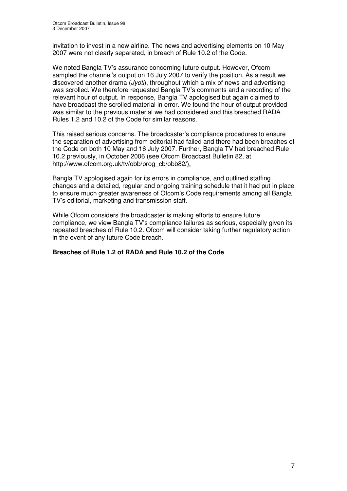invitation to invest in a new airline. The news and advertising elements on 10 May 2007 were not clearly separated, in breach of Rule 10.2 of the Code.

We noted Bangla TV's assurance concerning future output. However, Ofcom sampled the channel's output on 16 July 2007 to verify the position. As a result we discovered another drama (*Jyoti*), throughout which a mix of news and advertising was scrolled. We therefore requested Bangla TV's comments and a recording of the relevant hour of output. In response, Bangla TV apologised but again claimed to have broadcast the scrolled material in error. We found the hour of output provided was similar to the previous material we had considered and this breached RADA Rules 1.2 and 10.2 of the Code for similar reasons.

This raised serious concerns. The broadcaster's compliance procedures to ensure the separation of advertising from editorial had failed and there had been breaches of the Code on both 10 May and 16 July 2007. Further, Bangla TV had breached Rule 10.2 previously, in October 2006 (see Ofcom Broadcast Bulletin 82, at http://www.ofcom.org.uk/tv/obb/prog\_cb/obb82/).

Bangla TV apologised again for its errors in compliance, and outlined staffing changes and a detailed, regular and ongoing training schedule that it had put in place to ensure much greater awareness of Ofcom's Code requirements among all Bangla TV's editorial, marketing and transmission staff.

While Ofcom considers the broadcaster is making efforts to ensure future compliance, we view Bangla TV's compliance failures as serious, especially given its repeated breaches of Rule 10.2. Ofcom will consider taking further regulatory action in the event of any future Code breach.

#### **Breaches of Rule 1.2 of RADA and Rule 10.2 of the Code**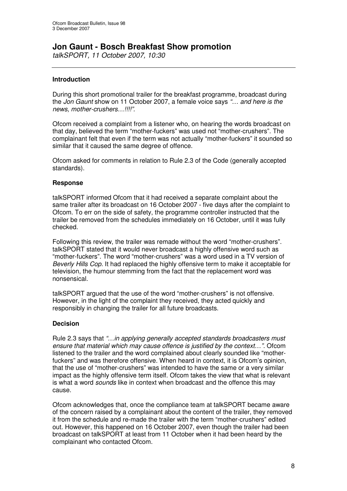## **Jon Gaunt - Bosch Breakfast Show promotion**

*talkSPORT, 11 October 2007, 10:30*

#### **Introduction**

During this short promotional trailer for the breakfast programme, broadcast during the *Jon Gaunt* show on 11 October 2007, a female voice says *"… and here is the news, mother-crushers…!!!!".*

Ofcom received a complaint from a listener who, on hearing the words broadcast on that day, believed the term "mother-fuckers" was used not "mother-crushers". The complainant felt that even if the term was not actually "mother-fuckers" it sounded so similar that it caused the same degree of offence.

Ofcom asked for comments in relation to Rule 2.3 of the Code (generally accepted standards).

#### **Response**

talkSPORT informed Ofcom that it had received a separate complaint about the same trailer after its broadcast on 16 October 2007 - five days after the complaint to Ofcom. To err on the side of safety, the programme controller instructed that the trailer be removed from the schedules immediately on 16 October, until it was fully checked.

Following this review, the trailer was remade without the word "mother-crushers". talkSPORT stated that it would never broadcast a highly offensive word such as "mother-fuckers". The word "mother-crushers" was a word used in a TV version of *Beverly Hills Cop.* It had replaced the highly offensive term to make it acceptable for television, the humour stemming from the fact that the replacement word was nonsensical.

talkSPORT argued that the use of the word "mother-crushers" is not offensive. However, in the light of the complaint they received, they acted quickly and responsibly in changing the trailer for all future broadcasts.

#### **Decision**

Rule 2.3 says that *"…in applying generally accepted standards broadcasters must ensure that material which may cause offence is justified by the context…".* Ofcom listened to the trailer and the word complained about clearly sounded like "motherfuckers" and was therefore offensive. When heard in context, it is Ofcom's opinion, that the use of "mother-crushers" was intended to have the same or a very similar impact as the highly offensive term itself. Ofcom takes the view that what is relevant is what a word *sounds* like in context when broadcast and the offence this may cause.

Ofcom acknowledges that, once the compliance team at talkSPORT became aware of the concern raised by a complainant about the content of the trailer, they removed it from the schedule and re-made the trailer with the term "mother-crushers" edited out. However, this happened on 16 October 2007, even though the trailer had been broadcast on talkSPORT at least from 11 October when it had been heard by the complainant who contacted Ofcom.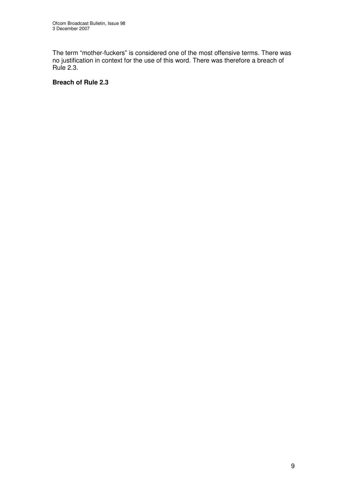The term "mother-fuckers" is considered one of the most offensive terms. There was no justification in context for the use of this word. There was therefore a breach of Rule 2.3.

#### **Breach of Rule 2.3**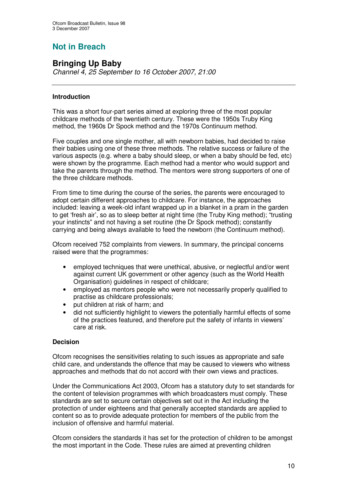# **Not in Breach**

## **Bringing Up Baby**

*Channel 4, 25 September to 16 October 2007, 21:00*

#### **Introduction**

This was a short four-part series aimed at exploring three of the most popular childcare methods of the twentieth century. These were the 1950s Truby King method, the 1960s Dr Spock method and the 1970s Continuum method.

Five couples and one single mother, all with newborn babies, had decided to raise their babies using one of these three methods. The relative success or failure of the various aspects (e.g. where a baby should sleep, or when a baby should be fed, etc) were shown by the programme. Each method had a mentor who would support and take the parents through the method. The mentors were strong supporters of one of the three childcare methods.

From time to time during the course of the series, the parents were encouraged to adopt certain different approaches to childcare. For instance, the approaches included: leaving a week-old infant wrapped up in a blanket in a pram in the garden to get 'fresh air', so as to sleep better at night time (the Truby King method); "trusting your instincts" and not having a set routine (the Dr Spock method); constantly carrying and being always available to feed the newborn (the Continuum method).

Ofcom received 752 complaints from viewers. In summary, the principal concerns raised were that the programmes:

- employed techniques that were unethical, abusive, or neglectful and/or went against current UK government or other agency (such as the World Health Organisation) guidelines in respect of childcare;
- employed as mentors people who were not necessarily properly qualified to practise as childcare professionals;
- put children at risk of harm; and
- did not sufficiently highlight to viewers the potentially harmful effects of some of the practices featured, and therefore put the safety of infants in viewers' care at risk.

#### **Decision**

Ofcom recognises the sensitivities relating to such issues as appropriate and safe child care, and understands the offence that may be caused to viewers who witness approaches and methods that do not accord with their own views and practices.

Under the Communications Act 2003, Ofcom has a statutory duty to set standards for the content of television programmes with which broadcasters must comply. These standards are set to secure certain objectives set out in the Act including the protection of under eighteens and that generally accepted standards are applied to content so as to provide adequate protection for members of the public from the inclusion of offensive and harmful material.

Ofcom considers the standards it has set for the protection of children to be amongst the most important in the Code. These rules are aimed at preventing children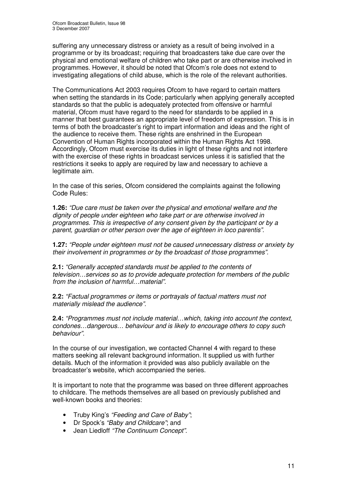suffering any unnecessary distress or anxiety as a result of being involved in a programme or by its broadcast; requiring that broadcasters take due care over the physical and emotional welfare of children who take part or are otherwise involved in programmes. However, it should be noted that Ofcom's role does not extend to investigating allegations of child abuse, which is the role of the relevant authorities.

The Communications Act 2003 requires Ofcom to have regard to certain matters when setting the standards in its Code; particularly when applying generally accepted standards so that the public is adequately protected from offensive or harmful material, Ofcom must have regard to the need for standards to be applied in a manner that best guarantees an appropriate level of freedom of expression. This is in terms of both the broadcaster's right to impart information and ideas and the right of the audience to receive them. These rights are enshrined in the European Convention of Human Rights incorporated within the Human Rights Act 1998. Accordingly, Ofcom must exercise its duties in light of these rights and not interfere with the exercise of these rights in broadcast services unless it is satisfied that the restrictions it seeks to apply are required by law and necessary to achieve a legitimate aim.

In the case of this series, Ofcom considered the complaints against the following Code Rules:

**1.26:** *"Due care must be taken over the physical and emotional welfare and the dignity of people under eighteen who take part or are otherwise involved in programmes. This is irrespective of any consent given by the participant or by a parent, guardian or other person over the age of eighteen in loco parentis".*

**1.27:** *"People under eighteen must not be caused unnecessary distress or anxiety by their involvement in programmes or by the broadcast of those programmes".*

**2.1:** *"Generally accepted standards must be applied to the contents of television…services so as to provide adequate protection for members of the public from the inclusion of harmful…material".*

**2.2:** *"Factual programmes or items or portrayals of factual matters must not materially mislead the audience".*

**2.4:** *"Programmes must not include material…which, taking into account the context, condones…dangerous… behaviour and is likely to encourage others to copy such behaviour".*

In the course of our investigation, we contacted Channel 4 with regard to these matters seeking all relevant background information. It supplied us with further details. Much of the information it provided was also publicly available on the broadcaster's website, which accompanied the series.

It is important to note that the programme was based on three different approaches to childcare. The methods themselves are all based on previously published and well-known books and theories:

- Truby King's *"Feeding and Care of Baby"*;
- Dr Spock's *"Baby and Childcare"*; and
- Jean Liedloff *"The Continuum Concept"*.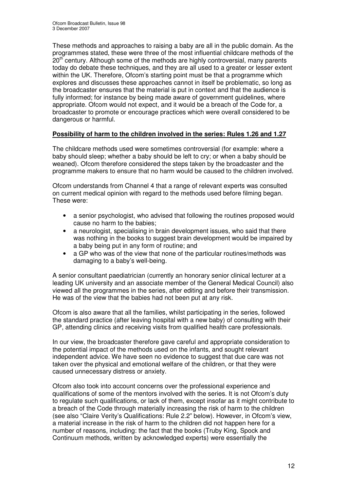These methods and approaches to raising a baby are all in the public domain. As the programmes stated, these were three of the most influential childcare methods of the 20<sup>th</sup> century. Although some of the methods are highly controversial, many parents today do debate these techniques, and they are all used to a greater or lesser extent within the UK. Therefore, Ofcom's starting point must be that a programme which explores and discusses these approaches cannot in itself be problematic, so long as the broadcaster ensures that the material is put in context and that the audience is fully informed; for instance by being made aware of government guidelines, where appropriate. Ofcom would not expect, and it would be a breach of the Code for, a broadcaster to promote or encourage practices which were overall considered to be dangerous or harmful.

#### **Possibility of harm to the children involved in the series: Rules 1.26 and 1.27**

The childcare methods used were sometimes controversial (for example: where a baby should sleep; whether a baby should be left to cry; or when a baby should be weaned). Ofcom therefore considered the steps taken by the broadcaster and the programme makers to ensure that no harm would be caused to the children involved.

Ofcom understands from Channel 4 that a range of relevant experts was consulted on current medical opinion with regard to the methods used before filming began. These were:

- a senior psychologist, who advised that following the routines proposed would cause no harm to the babies;
- a neurologist, specialising in brain development issues, who said that there was nothing in the books to suggest brain development would be impaired by a baby being put in any form of routine; and
- a GP who was of the view that none of the particular routines/methods was damaging to a baby's well-being.

A senior consultant paediatrician (currently an honorary senior clinical lecturer at a leading UK university and an associate member of the General Medical Council) also viewed all the programmes in the series, after editing and before their transmission. He was of the view that the babies had not been put at any risk.

Ofcom is also aware that all the families, whilst participating in the series, followed the standard practice (after leaving hospital with a new baby) of consulting with their GP, attending clinics and receiving visits from qualified health care professionals.

In our view, the broadcaster therefore gave careful and appropriate consideration to the potential impact of the methods used on the infants, and sought relevant independent advice. We have seen no evidence to suggest that due care was not taken over the physical and emotional welfare of the children, or that they were caused unnecessary distress or anxiety.

Ofcom also took into account concerns over the professional experience and qualifications of some of the mentors involved with the series. It is not Ofcom's duty to regulate such qualifications, or lack of them, except insofar as it might contribute to a breach of the Code through materially increasing the risk of harm to the children (see also "Claire Verity's Qualifications: Rule 2.2" below). However, in Ofcom's view, a material increase in the risk of harm to the children did not happen here for a number of reasons, including: the fact that the books (Truby King, Spock and Continuum methods, written by acknowledged experts) were essentially the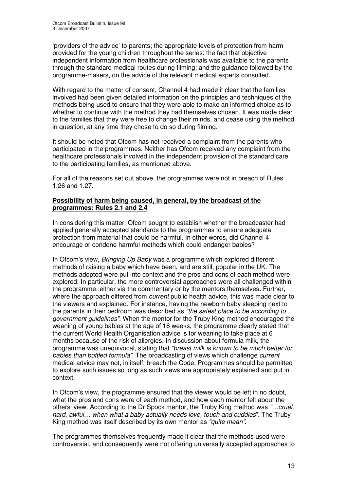'providers of the advice' to parents; the appropriate levels of protection from harm provided for the young children throughout the series; the fact that objective independent information from healthcare professionals was available to the parents through the standard medical routes during filming; and the guidance followed by the programme-makers, on the advice of the relevant medical experts consulted.

With regard to the matter of consent, Channel 4 had made it clear that the families involved had been given detailed information on the principles and techniques of the methods being used to ensure that they were able to make an informed choice as to whether to continue with the method they had themselves chosen. It was made clear to the families that they were free to change their minds, and cease using the method in question, at any time they chose to do so during filming.

It should be noted that Ofcom has not received a complaint from the parents who participated in the programmes. Neither has Ofcom received any complaint from the healthcare professionals involved in the independent provision of the standard care to the participating families, as mentioned above.

For all of the reasons set out above, the programmes were not in breach of Rules 1.26 and 1.27.

#### **Possibility of harm being caused, in general, by the broadcast of the programmes: Rules 2.1 and 2.4**

In considering this matter, Ofcom sought to establish whether the broadcaster had applied generally accepted standards to the programmes to ensure adequate protection from material that could be harmful. In other words, did Channel 4 encourage or condone harmful methods which could endanger babies?

In Ofcom's view, *Bringing Up Baby* was a programme which explored different methods of raising a baby which have been, and are still, popular in the UK. The methods adopted were put into context and the pros and cons of each method were explored. In particular, the more controversial approaches were all challenged within the programme, either via the commentary or by the mentors themselves. Further, where the approach differed from *current* public health advice, this was made clear to the viewers and explained. For instance, having the newborn baby sleeping next to the parents in their bedroom was described as *"the safest place to be according to government guidelines".* When the mentor for the Truby King method encouraged the weaning of young babies at the age of 16 weeks, the programme clearly stated that the current World Health Organisation advice is for weaning to take place at 6 months because of the risk of allergies. In discussion about formula milk, the programme was unequivocal, stating that *"breast milk is known to be much better for babies than bottled formula"*. The broadcasting of views which challenge *current* medical advice may not, in itself, breach the Code. Programmes should be permitted to explore such issues so long as such views are appropriately explained and put in context.

In Ofcom's view, the programme ensured that the viewer would be left in no doubt, what the pros and cons were of each method, and how each mentor felt about the others' view. According to the Dr Spock mentor, the Truby King method was *"…cruel, hard, awful… when what a baby actually needs love, touch and cuddles*". The Truby King method was itself described by its own mentor as *"quite mean"*.

The programmes themselves frequently made it clear that the methods used were controversial, and consequently were not offering universally accepted approaches to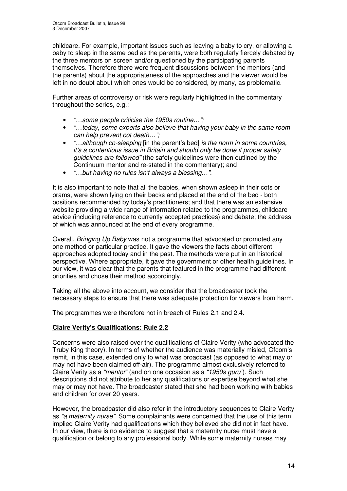childcare. For example, important issues such as leaving a baby to cry, or allowing a baby to sleep in the same bed as the parents, were both regularly fiercely debated by the three mentors on screen and/or questioned by the participating parents themselves. Therefore there were frequent discussions between the mentors (and the parents) about the appropriateness of the approaches and the viewer would be left in no doubt about which ones would be considered, by many, as problematic.

Further areas of controversy or risk were regularly highlighted in the commentary throughout the series, e.g.:

- *"…some people criticise the 1950s routine…";*
- *"…today, some experts also believe that having your baby in the same room can help prevent cot death…";*
- *"…although co-sleeping* [in the parent's bed] *is the norm in some countries, it's a contentious issue in Britain and should only be done if proper safety guidelines are followed"* (the safety guidelines were then outlined by the Continuum mentor and re-stated in the commentary); and
- *"…but having no rules isn't always a blessing…"*.

It is also important to note that all the babies, when shown asleep in their cots or prams, were shown lying on their backs and placed at the end of the bed - both positions recommended by today's practitioners; and that there was an extensive website providing a wide range of information related to the programmes, childcare advice (including reference to currently accepted practices) and debate; the address of which was announced at the end of every programme.

Overall, *Bringing Up Baby* was not a programme that advocated or promoted any one method or particular practice. It gave the viewers the facts about different approaches adopted today and in the past. The methods were put in an historical perspective. Where appropriate, it gave the government or other health guidelines. In our view, it was clear that the parents that featured in the programme had different priorities and chose their method accordingly.

Taking all the above into account, we consider that the broadcaster took the necessary steps to ensure that there was adequate protection for viewers from harm.

The programmes were therefore not in breach of Rules 2.1 and 2.4.

#### **Claire Verity's Qualifications: Rule 2.2**

Concerns were also raised over the qualifications of Claire Verity (who advocated the Truby King theory). In terms of whether the audience was materially misled, Ofcom's remit, in this case, extended only to what was broadcast (as opposed to what may or may not have been claimed off-air). The programme almost exclusively referred to Claire Verity as a *"mentor"* (and on one occasion as a *"1950s guru"*)*.* Such descriptions did not attribute to her any qualifications or expertise beyond what she may or may not have. The broadcaster stated that she had been working with babies and children for over 20 years.

However, the broadcaster did also refer in the introductory sequences to Claire Verity as *"a maternity nurse"*. Some complainants were concerned that the use of this term implied Claire Verity had qualifications which they believed she did not in fact have. In our view, there is no evidence to suggest that a maternity nurse must have a qualification or belong to any professional body. While some maternity nurses may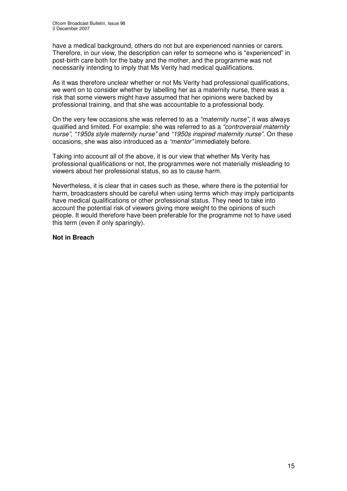have a medical background, others do not but are experienced nannies or carers. Therefore, in our view, the description can refer to someone who is "experienced" in post-birth care both for the baby and the mother, and the programme was not necessarily intending to imply that Ms Verity had medical qualifications.

As it was therefore unclear whether or not Ms Verity had professional qualifications, we went on to consider whether by labelling her as a maternity nurse, there was a risk that some viewers might have assumed that her opinions were backed by professional training, and that she was accountable to a professional body.

On the very few occasions she was referred to as a *"maternity nurse"*, it was always qualified and limited. For example: she was referred to as a *"controversial maternity nurse"*, *"1950s style maternity nurse"* and *"1950s inspired maternity nurse"*. On these occasions, she was also introduced as a *"mentor"* immediately before.

Taking into account all of the above, it is our view that whether Ms Verity has professional qualifications or not, the programmes were not materially misleading to viewers about her professional status, so as to cause harm.

Nevertheless, it is clear that in cases such as these, where there is the potential for harm, broadcasters should be careful when using terms which may imply participants have medical qualifications or other professional status. They need to take into account the potential risk of viewers giving more weight to the opinions of such people. It would therefore have been preferable for the programme not to have used this term (even if only sparingly).

#### **Not in Breach**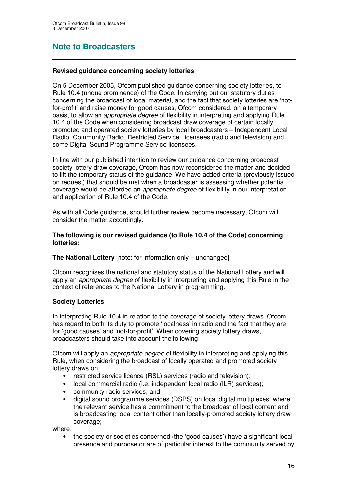## **Note to Broadcasters**

#### **Revised guidance concerning society lotteries**

On 5 December 2005, Ofcom published guidance concerning society lotteries, to Rule 10.4 (undue prominence) of the Code. In carrying out our statutory duties concerning the broadcast of local material, and the fact that society lotteries are 'notfor-profit' and raise money for good causes, Ofcom considered, on a temporary basis, to allow an *appropriate degree* of flexibility in interpreting and applying Rule 10.4 of the Code when considering broadcast draw coverage of certain locally promoted and operated society lotteries by local broadcasters – Independent Local Radio, Community Radio, Restricted Service Licensees (radio and television) and some Digital Sound Programme Service licensees.

In line with our published intention to review our guidance concerning broadcast society lottery draw coverage, Ofcom has now reconsidered the matter and decided to lift the temporary status of the guidance. We have added criteria (previously issued on request) that should be met when a broadcaster is assessing whether potential coverage would be afforded an *appropriate degree* of flexibility in our interpretation and application of Rule 10.4 of the Code.

As with all Code guidance, should further review become necessary, Ofcom will consider the matter accordingly.

#### **The following is our revised guidance (to Rule 10.4 of the Code) concerning lotteries:**

#### **The National Lottery** [note: for information only – unchanged]

Ofcom recognises the national and statutory status of the National Lottery and will apply an *appropriate degree* of flexibility in interpreting and applying this Rule in the context of references to the National Lottery in programming.

#### **Society Lotteries**

In interpreting Rule 10.4 in relation to the coverage of society lottery draws, Ofcom has regard to both its duty to promote 'localness' in radio and the fact that they are for 'good causes' and 'not-for-profit'. When covering society lottery draws, broadcasters should take into account the following:

Ofcom will apply an *appropriate degree* of flexibility in interpreting and applying this Rule, when considering the broadcast of locally operated and promoted society lottery draws on:

- restricted service licence (RSL) services (radio and television);
- local commercial radio (i.e. independent local radio (ILR) services);
- community radio services; and
- digital sound programme services (DSPS) on local digital multiplexes, where the relevant service has a commitment to the broadcast of local content and is broadcasting local content other than locally-promoted society lottery draw coverage;

where:

• the society or societies concerned (the 'good causes') have a significant local presence and purpose or are of particular interest to the community served by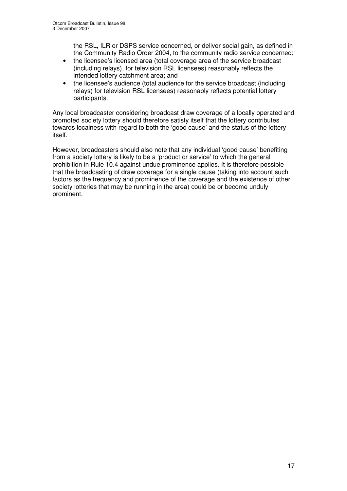the RSL, ILR or DSPS service concerned, or deliver social gain, as defined in the Community Radio Order 2004, to the community radio service concerned;

- the licensee's licensed area (total coverage area of the service broadcast (including relays), for television RSL licensees) reasonably reflects the intended lottery catchment area; and
- the licensee's audience (total audience for the service broadcast (including relays) for television RSL licensees) reasonably reflects potential lottery participants.

Any local broadcaster considering broadcast draw coverage of a locally operated and promoted society lottery should therefore satisfy itself that the lottery contributes towards localness with regard to both the 'good cause' and the status of the lottery itself.

However, broadcasters should also note that any individual 'good cause' benefiting from a society lottery is likely to be a 'product or service' to which the general prohibition in Rule 10.4 against undue prominence applies. It is therefore possible that the broadcasting of draw coverage for a single cause (taking into account such factors as the frequency and prominence of the coverage and the existence of other society lotteries that may be running in the area) could be or become unduly prominent.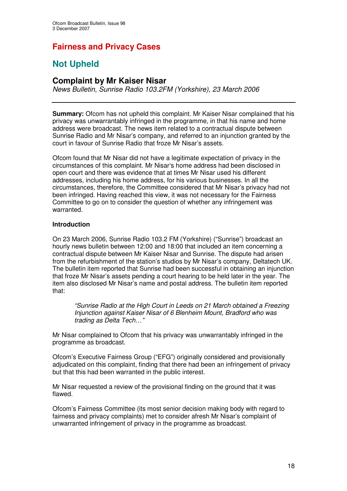## **Fairness and Privacy Cases**

# **Not Upheld**

#### **Complaint by Mr Kaiser Nisar**

*News Bulletin, Sunrise Radio 103.2FM (Yorkshire), 23 March 2006*

**Summary:** Ofcom has not upheld this complaint. Mr Kaiser Nisar complained that his privacy was unwarrantably infringed in the programme, in that his name and home address were broadcast. The news item related to a contractual dispute between Sunrise Radio and Mr Nisar's company, and referred to an injunction granted by the court in favour of Sunrise Radio that froze Mr Nisar's assets.

Ofcom found that Mr Nisar did not have a legitimate expectation of privacy in the circumstances of this complaint. Mr Nisar's home address had been disclosed in open court and there was evidence that at times Mr Nisar used his different addresses, including his home address, for his various businesses. In all the circumstances, therefore, the Committee considered that Mr Nisar's privacy had not been infringed. Having reached this view, it was not necessary for the Fairness Committee to go on to consider the question of whether any infringement was warranted.

#### **Introduction**

On 23 March 2006, Sunrise Radio 103.2 FM (Yorkshire) ("Sunrise") broadcast an hourly news bulletin between 12:00 and 18:00 that included an item concerning a contractual dispute between Mr Kaiser Nisar and Sunrise. The dispute had arisen from the refurbishment of the station's studios by Mr Nisar's company, Deltatech UK. The bulletin item reported that Sunrise had been successful in obtaining an injunction that froze Mr Nisar's assets pending a court hearing to be held later in the year. The item also disclosed Mr Nisar's name and postal address. The bulletin item reported that:

*"Sunrise Radio at the High Court in Leeds on 21 March obtained a Freezing Injunction against Kaiser Nisar of 6 Blenheim Mount, Bradford who was trading as Delta Tech…"*

Mr Nisar complained to Ofcom that his privacy was unwarrantably infringed in the programme as broadcast.

Ofcom's Executive Fairness Group ("EFG") originally considered and provisionally adjudicated on this complaint, finding that there had been an infringement of privacy but that this had been warranted in the public interest.

Mr Nisar requested a review of the provisional finding on the ground that it was flawed.

Ofcom's Fairness Committee (its most senior decision making body with regard to fairness and privacy complaints) met to consider afresh Mr Nisar's complaint of unwarranted infringement of privacy in the programme as broadcast.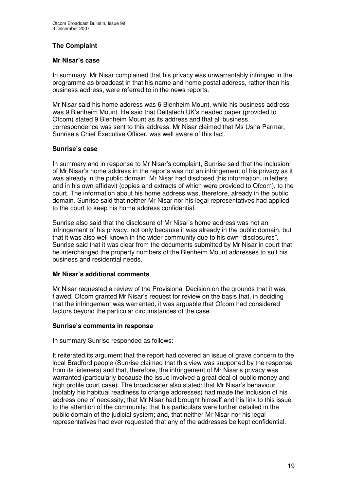#### **The Complaint**

#### **Mr Nisar's case**

In summary, Mr Nisar complained that his privacy was unwarrantably infringed in the programme as broadcast in that his name and home postal address, rather than his business address, were referred to in the news reports.

Mr Nisar said his home address was 6 Blenheim Mount, while his business address was 9 Blenheim Mount. He said that Deltatech UK's headed paper (provided to Ofcom) stated 9 Blenheim Mount as its address and that all business correspondence was sent to this address. Mr Nisar claimed that Ms Usha Parmar, Sunrise's Chief Executive Officer, was well aware of this fact.

#### **Sunrise's case**

In summary and in response to Mr Nisar's complaint, Sunrise said that the inclusion of Mr Nisar's home address in the reports was not an infringement of his privacy as it was already in the public domain. Mr Nisar had disclosed this information, in letters and in his own affidavit (copies and extracts of which were provided to Ofcom), to the court. The information about his home address was, therefore, already in the public domain. Sunrise said that neither Mr Nisar nor his legal representatives had applied to the court to keep his home address confidential.

Sunrise also said that the disclosure of Mr Nisar's home address was not an infringement of his privacy, not only because it was already in the public domain, but that it was also well known in the wider community due to his own "disclosures". Sunrise said that it was clear from the documents submitted by Mr Nisar in court that he interchanged the property numbers of the Blenheim Mount addresses to suit his business and residential needs.

#### **Mr Nisar's additional comments**

Mr Nisar requested a review of the Provisional Decision on the grounds that it was flawed. Ofcom granted Mr Nisar's request for review on the basis that, in deciding that the infringement was warranted, it was arguable that Ofcom had considered factors beyond the particular circumstances of the case.

#### **Sunrise's comments in response**

In summary Sunrise responded as follows:

It reiterated its argument that the report had covered an issue of grave concern to the local Bradford people (Sunrise claimed that this view was supported by the response from its listeners) and that, therefore, the infringement of Mr Nisar's privacy was warranted (particularly because the issue involved a great deal of public money and high profile court case). The broadcaster also stated: that Mr Nisar's behaviour (notably his habitual readiness to change addresses) had made the inclusion of his address one of necessity; that Mr Nisar had brought himself and his link to this issue to the attention of the community; that his particulars were further detailed in the public domain of the judicial system; and, that neither Mr Nisar nor his legal representatives had ever requested that any of the addresses be kept confidential.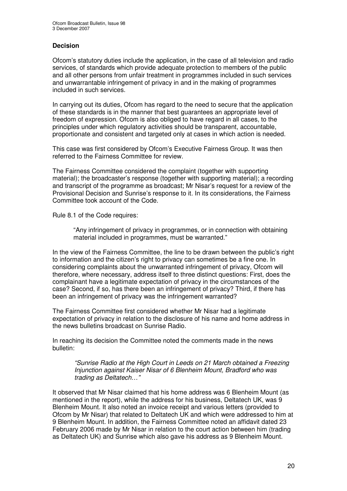#### **Decision**

Ofcom's statutory duties include the application, in the case of all television and radio services, of standards which provide adequate protection to members of the public and all other persons from unfair treatment in programmes included in such services and unwarrantable infringement of privacy in and in the making of programmes included in such services.

In carrying out its duties, Ofcom has regard to the need to secure that the application of these standards is in the manner that best guarantees an appropriate level of freedom of expression. Ofcom is also obliged to have regard in all cases, to the principles under which regulatory activities should be transparent, accountable, proportionate and consistent and targeted only at cases in which action is needed.

This case was first considered by Ofcom's Executive Fairness Group. It was then referred to the Fairness Committee for review.

The Fairness Committee considered the complaint (together with supporting material); the broadcaster's response (together with supporting material); a recording and transcript of the programme as broadcast; Mr Nisar's request for a review of the Provisional Decision and Sunrise's response to it. In its considerations, the Fairness Committee took account of the Code.

Rule 8.1 of the Code requires:

"Any infringement of privacy in programmes, or in connection with obtaining material included in programmes, must be warranted."

In the view of the Fairness Committee, the line to be drawn between the public's right to information and the citizen's right to privacy can sometimes be a fine one. In considering complaints about the unwarranted infringement of privacy, Ofcom will therefore, where necessary, address itself to three distinct questions: First, does the complainant have a legitimate expectation of privacy in the circumstances of the case? Second, if so, has there been an infringement of privacy? Third, if there has been an infringement of privacy was the infringement warranted?

The Fairness Committee first considered whether Mr Nisar had a legitimate expectation of privacy in relation to the disclosure of his name and home address in the news bulletins broadcast on Sunrise Radio.

In reaching its decision the Committee noted the comments made in the news bulletin:

*"Sunrise Radio at the High Court in Leeds on 21 March obtained a Freezing Injunction against Kaiser Nisar of 6 Blenheim Mount, Bradford who was trading as Deltatech…"*

It observed that Mr Nisar claimed that his home address was 6 Blenheim Mount (as mentioned in the report), while the address for his business, Deltatech UK, was 9 Blenheim Mount. It also noted an invoice receipt and various letters (provided to Ofcom by Mr Nisar) that related to Deltatech UK and which were addressed to him at 9 Blenheim Mount. In addition, the Fairness Committee noted an affidavit dated 23 February 2006 made by Mr Nisar in relation to the court action between him (trading as Deltatech UK) and Sunrise which also gave his address as 9 Blenheim Mount.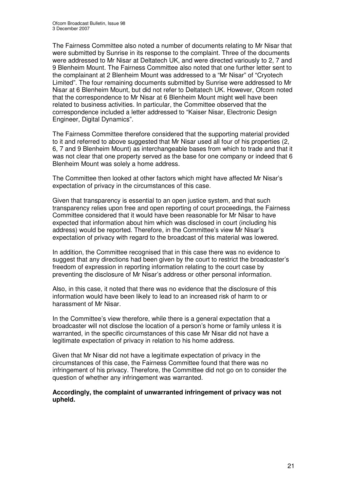The Fairness Committee also noted a number of documents relating to Mr Nisar that were submitted by Sunrise in its response to the complaint. Three of the documents were addressed to Mr Nisar at Deltatech UK, and were directed variously to 2, 7 and 9 Blenheim Mount. The Fairness Committee also noted that one further letter sent to the complainant at 2 Blenheim Mount was addressed to a "Mr Nisar" of "Cryotech Limited". The four remaining documents submitted by Sunrise were addressed to Mr Nisar at 6 Blenheim Mount, but did not refer to Deltatech UK. However, Ofcom noted that the correspondence to Mr Nisar at 6 Blenheim Mount might well have been related to business activities. In particular, the Committee observed that the correspondence included a letter addressed to "Kaiser Nisar, Electronic Design Engineer, Digital Dynamics".

The Fairness Committee therefore considered that the supporting material provided to it and referred to above suggested that Mr Nisar used all four of his properties (2, 6, 7 and 9 Blenheim Mount) as interchangeable bases from which to trade and that it was not clear that one property served as the base for one company or indeed that 6 Blenheim Mount was solely a home address.

The Committee then looked at other factors which might have affected Mr Nisar's expectation of privacy in the circumstances of this case.

Given that transparency is essential to an open justice system, and that such transparency relies upon free and open reporting of court proceedings, the Fairness Committee considered that it would have been reasonable for Mr Nisar to have expected that information about him which was disclosed in court (including his address) would be reported. Therefore, in the Committee's view Mr Nisar's expectation of privacy with regard to the broadcast of this material was lowered.

In addition, the Committee recognised that in this case there was no evidence to suggest that any directions had been given by the court to restrict the broadcaster's freedom of expression in reporting information relating to the court case by preventing the disclosure of Mr Nisar's address or other personal information.

Also, in this case, it noted that there was no evidence that the disclosure of this information would have been likely to lead to an increased risk of harm to or harassment of Mr Nisar.

In the Committee's view therefore, while there is a general expectation that a broadcaster will not disclose the location of a person's home or family unless it is warranted, in the specific circumstances of this case Mr Nisar did not have a legitimate expectation of privacy in relation to his home address.

Given that Mr Nisar did not have a legitimate expectation of privacy in the circumstances of this case, the Fairness Committee found that there was no infringement of his privacy. Therefore, the Committee did not go on to consider the question of whether any infringement was warranted.

**Accordingly, the complaint of unwarranted infringement of privacy was not upheld.**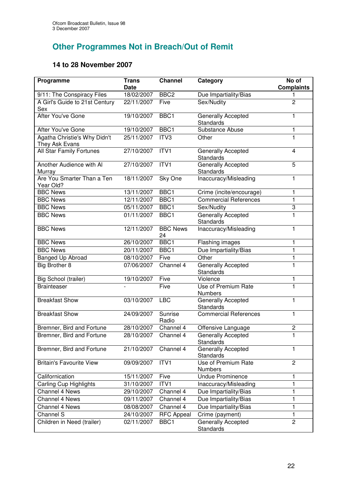# **Other Programmes Not in Breach/Out of Remit**

## **14 to 28 November 2007**

| Programme                                      | <b>Trans</b><br><b>Date</b> | <b>Channel</b>        | Category                                      | No of<br><b>Complaints</b> |
|------------------------------------------------|-----------------------------|-----------------------|-----------------------------------------------|----------------------------|
| 9/11: The Conspiracy Files                     | 18/02/2007                  | BBC <sub>2</sub>      | Due Impartiality/Bias                         | 1                          |
| A Girl's Guide to 21st Century<br>Sex          | 22/11/2007                  | Five                  | Sex/Nudity                                    | $\overline{2}$             |
| After You've Gone                              | 19/10/2007                  | BBC1                  | Generally Accepted<br><b>Standards</b>        | 1                          |
| After You've Gone                              | 19/10/2007                  | BBC1                  | Substance Abuse                               | 1                          |
| Agatha Christie's Why Didn't<br>They Ask Evans | 25/11/2007                  | ITV3                  | Other                                         | 1                          |
| <b>All Star Family Fortunes</b>                | 27/10/2007                  | ITVI                  | Generally Accepted<br><b>Standards</b>        | $\overline{\mathbf{4}}$    |
| Another Audience with Al<br>Murray             | 27/10/2007                  | ITV1                  | Generally Accepted<br><b>Standards</b>        | $\overline{5}$             |
| Are You Smarter Than a Ten<br>Year Old?        | 18/11/2007                  | Sky One               | Inaccuracy/Misleading                         | 1                          |
| <b>BBC News</b>                                | 13/11/2007                  | BBC1                  | Crime (incite/encourage)                      | 1                          |
| <b>BBC News</b>                                | 12/11/2007                  | BBC1                  | <b>Commercial References</b>                  | 1                          |
| <b>BBC News</b>                                | 05/11/2007                  | BBC1                  | Sex/Nudity                                    | 3                          |
| <b>BBC News</b>                                | 01/11/2007                  | BBC1                  | Generally Accepted<br><b>Standards</b>        | $\overline{1}$             |
| <b>BBC News</b>                                | 12/11/2007                  | <b>BBC News</b><br>24 | Inaccuracy/Misleading                         | 1                          |
| <b>BBC News</b>                                | 26/10/2007                  | BBC <sub>1</sub>      | <b>Flashing images</b>                        | 1                          |
| <b>BBC News</b>                                | 20/11/2007                  | BBC1                  | Due Impartiality/Bias                         | $\mathbf{1}$               |
| Banged Up Abroad                               | 08/10/2007                  | Five                  | Other                                         | 1                          |
| Big Brother 8                                  | 07/06/2007                  | Channel 4             | Generally Accepted<br><b>Standards</b>        | $\mathbf{1}$               |
| Big School (trailer)                           | 19/10/2007                  | Five                  | Violence                                      | 1                          |
| <b>Brainteaser</b>                             |                             | Five                  | Use of Premium Rate<br><b>Numbers</b>         | $\overline{1}$             |
| <b>Breakfast Show</b>                          | 03/10/2007                  | <b>LBC</b>            | <b>Generally Accepted</b><br><b>Standards</b> | 1                          |
| <b>Breakfast Show</b>                          | 24/09/2007                  | Sunrise<br>Radio      | <b>Commercial References</b>                  | 1                          |
| Bremner, Bird and Fortune                      | 28/10/2007                  | Channel 4             | Offensive Language                            | $\overline{c}$             |
| Bremner, Bird and Fortune                      | 28/10/2007                  | Channel 4             | Generally Accepted<br>Standards               | 1                          |
| Bremner, Bird and Fortune                      | 21/10/2007                  | Channel 4             | Generally Accepted<br><b>Standards</b>        | $\mathbf{1}$               |
| <b>Britain's Favourite View</b>                | 09/09/2007                  | ITV1                  | Use of Premium Rate<br><b>Numbers</b>         | $\overline{2}$             |
| Californication                                | 15/11/2007                  | Five                  | <b>Undue Prominence</b>                       | 1                          |
| <b>Carling Cup Highlights</b>                  | 31/10/2007                  | ITV1                  | Inaccuracy/Misleading                         | 1                          |
| Channel 4 News                                 | 29/10/2007                  | Channel 4             | Due Impartiality/Bias                         | 1                          |
| Channel 4 News                                 | 09/11/2007                  | Channel 4             | Due Impartiality/Bias                         | 1                          |
| Channel 4 News                                 | 08/08/2007                  | Channel 4             | Due Impartiality/Bias                         | 1                          |
| Channel S                                      | 24/10/2007                  | <b>RFC Appeal</b>     | Crime (payment)                               | $\mathbf{1}$               |
| Children in Need (trailer)                     | 02/11/2007                  | BBC1                  | Generally Accepted<br>Standards               | $\overline{c}$             |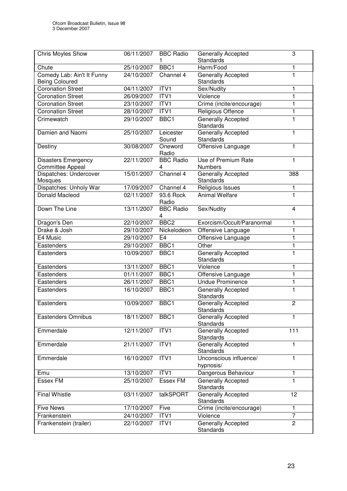| Chris Moyles Show                                   | 06/11/2007 | <b>BBC Radio</b>      | <b>Generally Accepted</b><br><b>Standards</b> | 3              |
|-----------------------------------------------------|------------|-----------------------|-----------------------------------------------|----------------|
| Chute                                               | 25/10/2007 | BBC1                  | Harm/Food                                     | 1              |
| Comedy Lab: Ain't It Funny<br><b>Being Coloured</b> | 24/10/2007 | Channel 4             | Generally Accepted<br><b>Standards</b>        | $\mathbf{1}$   |
| <b>Coronation Street</b>                            | 04/11/2007 | ITV1                  | Sex/Nudity                                    | 1              |
| <b>Coronation Street</b>                            | 26/09/2007 | ITV1                  | Violence                                      | $\mathbf{1}$   |
| <b>Coronation Street</b>                            | 23/10/2007 | ITV1                  | Crime (incite/encourage)                      | 1              |
| <b>Coronation Street</b>                            | 28/10/2007 | ITV1                  | Religious Offence                             | $\mathbf{1}$   |
| Crimewatch                                          | 29/10/2007 | BBC1                  | Generally Accepted<br><b>Standards</b>        | 1              |
| Damien and Naomi                                    | 25/10/2007 | Leicester<br>Sound    | Generally Accepted<br>Standards               | 1              |
| Destiny                                             | 30/08/2007 | Oneword<br>Radio      | Offensive Language                            | 1              |
| <b>Disasters Emergency</b><br>Committee Appeal      | 22/11/2007 | <b>BBC Radio</b><br>4 | Use of Premium Rate<br><b>Numbers</b>         | 1              |
| Dispatches: Undercover<br>Mosques                   | 15/01/2007 | Channel 4             | Generally Accepted<br><b>Standards</b>        | 388            |
| Dispatches: Unholy War                              | 17/09/2007 | Channel 4             | Religious Issues                              | $\mathbf{1}$   |
| <b>Donald Macleod</b>                               | 02/11/2007 | 93.6 Rock<br>Radio    | <b>Animal Welfare</b>                         | 1              |
| Down The Line                                       | 13/11/2007 | <b>BBC Radio</b><br>4 | Sex/Nudity                                    | 4              |
| Dragon's Den                                        | 22/10/2007 | BBC <sub>2</sub>      | Exorcism/Occult/Paranormal                    | 1              |
| Drake & Josh                                        | 29/10/2007 | Nickelodeon           | Offensive Language                            | 1              |
| E4 Music                                            | 29/10/2007 | E <sub>4</sub>        | Offensive Language                            | $\mathbf{1}$   |
| Eastenders                                          | 29/10/2007 | BBC1                  | Other                                         | 1              |
| Eastenders                                          | 10/09/2007 | BBC1                  | Generally Accepted<br>Standards               | $\overline{1}$ |
| Eastenders                                          | 13/11/2007 | BBC1                  | Violence                                      | 1              |
| Eastenders                                          | 01/11/2007 | BBC1                  | Offensive Language                            | $\mathbf{1}$   |
| Eastenders                                          | 26/11/2007 | BBC <sub>1</sub>      | <b>Undue Prominence</b>                       | $\mathbf{1}$   |
| Eastenders                                          | 16/10/2007 | BBC1                  | Generally Accepted<br>Standards               | 1              |
| Eastenders                                          | 10/09/2007 | BBC1                  | <b>Generally Accepted</b><br>Standards        | $\overline{2}$ |
| <b>Eastenders Omnibus</b>                           | 18/11/2007 | BBC1                  | <b>Generally Accepted</b><br>Standards        | 1              |
| Emmerdale                                           | 12/11/2007 | ITV1                  | Generally Accepted<br>Standards               | 111            |
| Emmerdale                                           | 21/11/2007 | ITVI                  | <b>Generally Accepted</b><br>Standards        | $\mathbf{1}$   |
| Emmerdale                                           | 16/10/2007 | ITV1                  | Unconscious influence/<br>hypnosis/           | $\mathbf{1}$   |
| Emu                                                 | 13/10/2007 | ITV1                  | Dangerous Behaviour                           | 1              |
| <b>Essex FM</b>                                     | 25/10/2007 | <b>Essex FM</b>       | Generally Accepted<br>Standards               | 1              |
| <b>Final Whistle</b>                                | 03/11/2007 | talkSPORT             | Generally Accepted<br>Standards               | 12             |
| <b>Five News</b>                                    | 17/10/2007 | Five                  | Crime (incite/encourage)                      | $\mathbf{1}$   |
| Frankenstein                                        | 24/10/2007 | ITV1                  | Violence                                      | $\overline{7}$ |
| Frankenstein (trailer)                              | 22/10/2007 | ITV1                  | Generally Accepted<br>Standards               | $\overline{2}$ |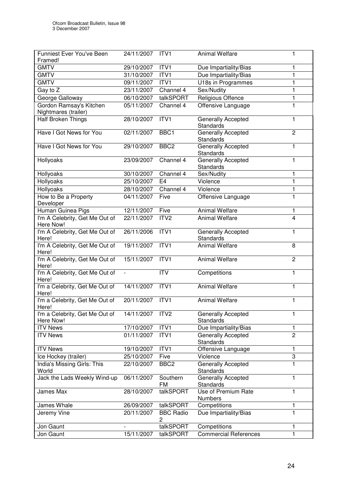| 29/10/2007<br><b>GMTV</b><br>ITV1<br>Due Impartiality/Bias<br>1<br>ITVI<br>Due Impartiality/Bias<br><b>GMTV</b><br>31/10/2007<br>1<br>U18s in Programmes<br>ITVI<br><b>GMTV</b><br>09/11/2007<br>1<br>Sex/Nudity<br>$\mathbf{1}$<br>Gay to Z<br>23/11/2007<br>Channel 4<br>$\mathbf{1}$<br>George Galloway<br>06/10/2007<br>talkSPORT<br>Religious Offence<br>$\mathbf{1}$<br>Gordon Ramsay's Kitchen<br>05/11/2007<br>Offensive Language<br>Channel 4<br>Nightmares (trailer)<br>ITVI<br><b>Half Broken Things</b><br>28/10/2007<br>Generally Accepted<br>1<br><b>Standards</b><br>Have I Got News for You<br>02/11/2007<br>BBC1<br><b>Generally Accepted</b><br>$\overline{2}$<br><b>Standards</b><br>Generally Accepted<br>Have I Got News for You<br>29/10/2007<br>BBC <sub>2</sub><br>$\mathbf{1}$<br>Standards<br>Hollyoaks<br>23/09/2007<br>Channel 4<br>Generally Accepted<br>1<br>Standards<br>Hollyoaks<br>30/10/2007<br>Channel 4<br>Sex/Nudity<br>1<br>Hollyoaks<br>25/10/2007<br>Violence<br>$\mathbf{1}$<br>E <sub>4</sub><br>Hollyoaks<br>$\mathbf{1}$<br>Violence<br>28/10/2007<br>Channel 4<br>How to Be a Property<br>1<br>04/11/2007<br>Five<br>Offensive Language<br>Developer<br>Human Guinea Pigs<br><b>Animal Welfare</b><br>12/11/2007<br>Five<br>1<br>I'm A Celebrity, Get Me Out of<br>4<br>22/11/2007<br>ITV <sub>2</sub><br><b>Animal Welfare</b><br>Here Now!<br>I'm A Celebrity, Get Me Out of<br>ITVI<br>26/11/2006<br>Generally Accepted<br>1<br><b>Standards</b><br>Here!<br>I'm A Celebrity, Get Me Out of<br>ITVI<br>19/11/2007<br><b>Animal Welfare</b><br>8<br>Here!<br>ITVI<br><b>Animal Welfare</b><br>I'm A Celebrity, Get Me Out of<br>15/11/2007<br>$\overline{2}$<br>Here!<br>I'm A Celebrity, Get Me Out of<br><b>ITV</b><br>Competitions<br>1<br>$\overline{\phantom{a}}$<br>Here!<br>I'm a Celebrity, Get Me Out of<br>ITVI<br><b>Animal Welfare</b><br>14/11/2007<br>1<br>Here!<br>I'm a Celebrity, Get Me Out of<br>20/11/2007<br>ITV1<br><b>Animal Welfare</b><br>$\mathbf{1}$<br>Here!<br>I'm a Celebrity, Get Me Out of<br>14/11/2007<br><b>Generally Accepted</b><br>ITV <sub>2</sub><br>1<br>Standards<br>Here Now!<br>17/10/2007<br>ITVI<br><b>ITV News</b><br>Due Impartiality/Bias<br>1<br>$\overline{2}$<br>01/11/2007<br>ITV1<br><b>ITV News</b><br>Generally Accepted<br>Standards<br><b>ITV News</b><br>19/10/2007<br>ITV1<br>1<br>Offensive Language<br>3<br>25/10/2007<br>Violence<br>Ice Hockey (trailer)<br>Five<br>India's Missing Girls: This<br>BBC <sub>2</sub><br>1<br>22/10/2007<br>Generally Accepted<br>World<br><b>Standards</b><br>Jack the Lads Weekly Wind-up<br>06/11/2007<br>Southern<br>Generally Accepted<br>1<br><b>FM</b><br><b>Standards</b><br>James Max<br>28/10/2007<br>talkSPORT<br>Use of Premium Rate<br>1<br><b>Numbers</b><br>26/09/2007<br>talkSPORT<br>Competitions<br>James Whale<br>1<br>1<br>Due Impartiality/Bias<br>Jeremy Vine<br>20/11/2007<br><b>BBC Radio</b><br>2<br>talkSPORT<br>Jon Gaunt<br>Competitions<br>1 | Funniest Ever You've Been<br>Framed! | 24/11/2007 | ITV1      | <b>Animal Welfare</b>        | 1            |
|-------------------------------------------------------------------------------------------------------------------------------------------------------------------------------------------------------------------------------------------------------------------------------------------------------------------------------------------------------------------------------------------------------------------------------------------------------------------------------------------------------------------------------------------------------------------------------------------------------------------------------------------------------------------------------------------------------------------------------------------------------------------------------------------------------------------------------------------------------------------------------------------------------------------------------------------------------------------------------------------------------------------------------------------------------------------------------------------------------------------------------------------------------------------------------------------------------------------------------------------------------------------------------------------------------------------------------------------------------------------------------------------------------------------------------------------------------------------------------------------------------------------------------------------------------------------------------------------------------------------------------------------------------------------------------------------------------------------------------------------------------------------------------------------------------------------------------------------------------------------------------------------------------------------------------------------------------------------------------------------------------------------------------------------------------------------------------------------------------------------------------------------------------------------------------------------------------------------------------------------------------------------------------------------------------------------------------------------------------------------------------------------------------------------------------------------------------------------------------------------------------------------------------------------------------------------------------------------------------------------------------------------------------------------------------------------------------------------------------------------------------------------------------------------------------------------------------------------------------------------------------------------------------------------------------------------------------------------------------------------------------------------------|--------------------------------------|------------|-----------|------------------------------|--------------|
|                                                                                                                                                                                                                                                                                                                                                                                                                                                                                                                                                                                                                                                                                                                                                                                                                                                                                                                                                                                                                                                                                                                                                                                                                                                                                                                                                                                                                                                                                                                                                                                                                                                                                                                                                                                                                                                                                                                                                                                                                                                                                                                                                                                                                                                                                                                                                                                                                                                                                                                                                                                                                                                                                                                                                                                                                                                                                                                                                                                                                         |                                      |            |           |                              |              |
|                                                                                                                                                                                                                                                                                                                                                                                                                                                                                                                                                                                                                                                                                                                                                                                                                                                                                                                                                                                                                                                                                                                                                                                                                                                                                                                                                                                                                                                                                                                                                                                                                                                                                                                                                                                                                                                                                                                                                                                                                                                                                                                                                                                                                                                                                                                                                                                                                                                                                                                                                                                                                                                                                                                                                                                                                                                                                                                                                                                                                         |                                      |            |           |                              |              |
|                                                                                                                                                                                                                                                                                                                                                                                                                                                                                                                                                                                                                                                                                                                                                                                                                                                                                                                                                                                                                                                                                                                                                                                                                                                                                                                                                                                                                                                                                                                                                                                                                                                                                                                                                                                                                                                                                                                                                                                                                                                                                                                                                                                                                                                                                                                                                                                                                                                                                                                                                                                                                                                                                                                                                                                                                                                                                                                                                                                                                         |                                      |            |           |                              |              |
|                                                                                                                                                                                                                                                                                                                                                                                                                                                                                                                                                                                                                                                                                                                                                                                                                                                                                                                                                                                                                                                                                                                                                                                                                                                                                                                                                                                                                                                                                                                                                                                                                                                                                                                                                                                                                                                                                                                                                                                                                                                                                                                                                                                                                                                                                                                                                                                                                                                                                                                                                                                                                                                                                                                                                                                                                                                                                                                                                                                                                         |                                      |            |           |                              |              |
|                                                                                                                                                                                                                                                                                                                                                                                                                                                                                                                                                                                                                                                                                                                                                                                                                                                                                                                                                                                                                                                                                                                                                                                                                                                                                                                                                                                                                                                                                                                                                                                                                                                                                                                                                                                                                                                                                                                                                                                                                                                                                                                                                                                                                                                                                                                                                                                                                                                                                                                                                                                                                                                                                                                                                                                                                                                                                                                                                                                                                         |                                      |            |           |                              |              |
|                                                                                                                                                                                                                                                                                                                                                                                                                                                                                                                                                                                                                                                                                                                                                                                                                                                                                                                                                                                                                                                                                                                                                                                                                                                                                                                                                                                                                                                                                                                                                                                                                                                                                                                                                                                                                                                                                                                                                                                                                                                                                                                                                                                                                                                                                                                                                                                                                                                                                                                                                                                                                                                                                                                                                                                                                                                                                                                                                                                                                         |                                      |            |           |                              |              |
|                                                                                                                                                                                                                                                                                                                                                                                                                                                                                                                                                                                                                                                                                                                                                                                                                                                                                                                                                                                                                                                                                                                                                                                                                                                                                                                                                                                                                                                                                                                                                                                                                                                                                                                                                                                                                                                                                                                                                                                                                                                                                                                                                                                                                                                                                                                                                                                                                                                                                                                                                                                                                                                                                                                                                                                                                                                                                                                                                                                                                         |                                      |            |           |                              |              |
|                                                                                                                                                                                                                                                                                                                                                                                                                                                                                                                                                                                                                                                                                                                                                                                                                                                                                                                                                                                                                                                                                                                                                                                                                                                                                                                                                                                                                                                                                                                                                                                                                                                                                                                                                                                                                                                                                                                                                                                                                                                                                                                                                                                                                                                                                                                                                                                                                                                                                                                                                                                                                                                                                                                                                                                                                                                                                                                                                                                                                         |                                      |            |           |                              |              |
|                                                                                                                                                                                                                                                                                                                                                                                                                                                                                                                                                                                                                                                                                                                                                                                                                                                                                                                                                                                                                                                                                                                                                                                                                                                                                                                                                                                                                                                                                                                                                                                                                                                                                                                                                                                                                                                                                                                                                                                                                                                                                                                                                                                                                                                                                                                                                                                                                                                                                                                                                                                                                                                                                                                                                                                                                                                                                                                                                                                                                         |                                      |            |           |                              |              |
|                                                                                                                                                                                                                                                                                                                                                                                                                                                                                                                                                                                                                                                                                                                                                                                                                                                                                                                                                                                                                                                                                                                                                                                                                                                                                                                                                                                                                                                                                                                                                                                                                                                                                                                                                                                                                                                                                                                                                                                                                                                                                                                                                                                                                                                                                                                                                                                                                                                                                                                                                                                                                                                                                                                                                                                                                                                                                                                                                                                                                         |                                      |            |           |                              |              |
|                                                                                                                                                                                                                                                                                                                                                                                                                                                                                                                                                                                                                                                                                                                                                                                                                                                                                                                                                                                                                                                                                                                                                                                                                                                                                                                                                                                                                                                                                                                                                                                                                                                                                                                                                                                                                                                                                                                                                                                                                                                                                                                                                                                                                                                                                                                                                                                                                                                                                                                                                                                                                                                                                                                                                                                                                                                                                                                                                                                                                         |                                      |            |           |                              |              |
|                                                                                                                                                                                                                                                                                                                                                                                                                                                                                                                                                                                                                                                                                                                                                                                                                                                                                                                                                                                                                                                                                                                                                                                                                                                                                                                                                                                                                                                                                                                                                                                                                                                                                                                                                                                                                                                                                                                                                                                                                                                                                                                                                                                                                                                                                                                                                                                                                                                                                                                                                                                                                                                                                                                                                                                                                                                                                                                                                                                                                         |                                      |            |           |                              |              |
|                                                                                                                                                                                                                                                                                                                                                                                                                                                                                                                                                                                                                                                                                                                                                                                                                                                                                                                                                                                                                                                                                                                                                                                                                                                                                                                                                                                                                                                                                                                                                                                                                                                                                                                                                                                                                                                                                                                                                                                                                                                                                                                                                                                                                                                                                                                                                                                                                                                                                                                                                                                                                                                                                                                                                                                                                                                                                                                                                                                                                         |                                      |            |           |                              |              |
|                                                                                                                                                                                                                                                                                                                                                                                                                                                                                                                                                                                                                                                                                                                                                                                                                                                                                                                                                                                                                                                                                                                                                                                                                                                                                                                                                                                                                                                                                                                                                                                                                                                                                                                                                                                                                                                                                                                                                                                                                                                                                                                                                                                                                                                                                                                                                                                                                                                                                                                                                                                                                                                                                                                                                                                                                                                                                                                                                                                                                         |                                      |            |           |                              |              |
|                                                                                                                                                                                                                                                                                                                                                                                                                                                                                                                                                                                                                                                                                                                                                                                                                                                                                                                                                                                                                                                                                                                                                                                                                                                                                                                                                                                                                                                                                                                                                                                                                                                                                                                                                                                                                                                                                                                                                                                                                                                                                                                                                                                                                                                                                                                                                                                                                                                                                                                                                                                                                                                                                                                                                                                                                                                                                                                                                                                                                         |                                      |            |           |                              |              |
|                                                                                                                                                                                                                                                                                                                                                                                                                                                                                                                                                                                                                                                                                                                                                                                                                                                                                                                                                                                                                                                                                                                                                                                                                                                                                                                                                                                                                                                                                                                                                                                                                                                                                                                                                                                                                                                                                                                                                                                                                                                                                                                                                                                                                                                                                                                                                                                                                                                                                                                                                                                                                                                                                                                                                                                                                                                                                                                                                                                                                         |                                      |            |           |                              |              |
|                                                                                                                                                                                                                                                                                                                                                                                                                                                                                                                                                                                                                                                                                                                                                                                                                                                                                                                                                                                                                                                                                                                                                                                                                                                                                                                                                                                                                                                                                                                                                                                                                                                                                                                                                                                                                                                                                                                                                                                                                                                                                                                                                                                                                                                                                                                                                                                                                                                                                                                                                                                                                                                                                                                                                                                                                                                                                                                                                                                                                         |                                      |            |           |                              |              |
|                                                                                                                                                                                                                                                                                                                                                                                                                                                                                                                                                                                                                                                                                                                                                                                                                                                                                                                                                                                                                                                                                                                                                                                                                                                                                                                                                                                                                                                                                                                                                                                                                                                                                                                                                                                                                                                                                                                                                                                                                                                                                                                                                                                                                                                                                                                                                                                                                                                                                                                                                                                                                                                                                                                                                                                                                                                                                                                                                                                                                         |                                      |            |           |                              |              |
|                                                                                                                                                                                                                                                                                                                                                                                                                                                                                                                                                                                                                                                                                                                                                                                                                                                                                                                                                                                                                                                                                                                                                                                                                                                                                                                                                                                                                                                                                                                                                                                                                                                                                                                                                                                                                                                                                                                                                                                                                                                                                                                                                                                                                                                                                                                                                                                                                                                                                                                                                                                                                                                                                                                                                                                                                                                                                                                                                                                                                         |                                      |            |           |                              |              |
|                                                                                                                                                                                                                                                                                                                                                                                                                                                                                                                                                                                                                                                                                                                                                                                                                                                                                                                                                                                                                                                                                                                                                                                                                                                                                                                                                                                                                                                                                                                                                                                                                                                                                                                                                                                                                                                                                                                                                                                                                                                                                                                                                                                                                                                                                                                                                                                                                                                                                                                                                                                                                                                                                                                                                                                                                                                                                                                                                                                                                         |                                      |            |           |                              |              |
|                                                                                                                                                                                                                                                                                                                                                                                                                                                                                                                                                                                                                                                                                                                                                                                                                                                                                                                                                                                                                                                                                                                                                                                                                                                                                                                                                                                                                                                                                                                                                                                                                                                                                                                                                                                                                                                                                                                                                                                                                                                                                                                                                                                                                                                                                                                                                                                                                                                                                                                                                                                                                                                                                                                                                                                                                                                                                                                                                                                                                         |                                      |            |           |                              |              |
|                                                                                                                                                                                                                                                                                                                                                                                                                                                                                                                                                                                                                                                                                                                                                                                                                                                                                                                                                                                                                                                                                                                                                                                                                                                                                                                                                                                                                                                                                                                                                                                                                                                                                                                                                                                                                                                                                                                                                                                                                                                                                                                                                                                                                                                                                                                                                                                                                                                                                                                                                                                                                                                                                                                                                                                                                                                                                                                                                                                                                         |                                      |            |           |                              |              |
|                                                                                                                                                                                                                                                                                                                                                                                                                                                                                                                                                                                                                                                                                                                                                                                                                                                                                                                                                                                                                                                                                                                                                                                                                                                                                                                                                                                                                                                                                                                                                                                                                                                                                                                                                                                                                                                                                                                                                                                                                                                                                                                                                                                                                                                                                                                                                                                                                                                                                                                                                                                                                                                                                                                                                                                                                                                                                                                                                                                                                         |                                      |            |           |                              |              |
|                                                                                                                                                                                                                                                                                                                                                                                                                                                                                                                                                                                                                                                                                                                                                                                                                                                                                                                                                                                                                                                                                                                                                                                                                                                                                                                                                                                                                                                                                                                                                                                                                                                                                                                                                                                                                                                                                                                                                                                                                                                                                                                                                                                                                                                                                                                                                                                                                                                                                                                                                                                                                                                                                                                                                                                                                                                                                                                                                                                                                         |                                      |            |           |                              |              |
|                                                                                                                                                                                                                                                                                                                                                                                                                                                                                                                                                                                                                                                                                                                                                                                                                                                                                                                                                                                                                                                                                                                                                                                                                                                                                                                                                                                                                                                                                                                                                                                                                                                                                                                                                                                                                                                                                                                                                                                                                                                                                                                                                                                                                                                                                                                                                                                                                                                                                                                                                                                                                                                                                                                                                                                                                                                                                                                                                                                                                         |                                      |            |           |                              |              |
|                                                                                                                                                                                                                                                                                                                                                                                                                                                                                                                                                                                                                                                                                                                                                                                                                                                                                                                                                                                                                                                                                                                                                                                                                                                                                                                                                                                                                                                                                                                                                                                                                                                                                                                                                                                                                                                                                                                                                                                                                                                                                                                                                                                                                                                                                                                                                                                                                                                                                                                                                                                                                                                                                                                                                                                                                                                                                                                                                                                                                         |                                      |            |           |                              |              |
|                                                                                                                                                                                                                                                                                                                                                                                                                                                                                                                                                                                                                                                                                                                                                                                                                                                                                                                                                                                                                                                                                                                                                                                                                                                                                                                                                                                                                                                                                                                                                                                                                                                                                                                                                                                                                                                                                                                                                                                                                                                                                                                                                                                                                                                                                                                                                                                                                                                                                                                                                                                                                                                                                                                                                                                                                                                                                                                                                                                                                         |                                      |            |           |                              |              |
|                                                                                                                                                                                                                                                                                                                                                                                                                                                                                                                                                                                                                                                                                                                                                                                                                                                                                                                                                                                                                                                                                                                                                                                                                                                                                                                                                                                                                                                                                                                                                                                                                                                                                                                                                                                                                                                                                                                                                                                                                                                                                                                                                                                                                                                                                                                                                                                                                                                                                                                                                                                                                                                                                                                                                                                                                                                                                                                                                                                                                         |                                      |            |           |                              |              |
|                                                                                                                                                                                                                                                                                                                                                                                                                                                                                                                                                                                                                                                                                                                                                                                                                                                                                                                                                                                                                                                                                                                                                                                                                                                                                                                                                                                                                                                                                                                                                                                                                                                                                                                                                                                                                                                                                                                                                                                                                                                                                                                                                                                                                                                                                                                                                                                                                                                                                                                                                                                                                                                                                                                                                                                                                                                                                                                                                                                                                         |                                      |            |           |                              |              |
|                                                                                                                                                                                                                                                                                                                                                                                                                                                                                                                                                                                                                                                                                                                                                                                                                                                                                                                                                                                                                                                                                                                                                                                                                                                                                                                                                                                                                                                                                                                                                                                                                                                                                                                                                                                                                                                                                                                                                                                                                                                                                                                                                                                                                                                                                                                                                                                                                                                                                                                                                                                                                                                                                                                                                                                                                                                                                                                                                                                                                         |                                      |            |           |                              |              |
|                                                                                                                                                                                                                                                                                                                                                                                                                                                                                                                                                                                                                                                                                                                                                                                                                                                                                                                                                                                                                                                                                                                                                                                                                                                                                                                                                                                                                                                                                                                                                                                                                                                                                                                                                                                                                                                                                                                                                                                                                                                                                                                                                                                                                                                                                                                                                                                                                                                                                                                                                                                                                                                                                                                                                                                                                                                                                                                                                                                                                         |                                      |            |           |                              |              |
|                                                                                                                                                                                                                                                                                                                                                                                                                                                                                                                                                                                                                                                                                                                                                                                                                                                                                                                                                                                                                                                                                                                                                                                                                                                                                                                                                                                                                                                                                                                                                                                                                                                                                                                                                                                                                                                                                                                                                                                                                                                                                                                                                                                                                                                                                                                                                                                                                                                                                                                                                                                                                                                                                                                                                                                                                                                                                                                                                                                                                         |                                      |            |           |                              |              |
|                                                                                                                                                                                                                                                                                                                                                                                                                                                                                                                                                                                                                                                                                                                                                                                                                                                                                                                                                                                                                                                                                                                                                                                                                                                                                                                                                                                                                                                                                                                                                                                                                                                                                                                                                                                                                                                                                                                                                                                                                                                                                                                                                                                                                                                                                                                                                                                                                                                                                                                                                                                                                                                                                                                                                                                                                                                                                                                                                                                                                         |                                      |            |           |                              |              |
|                                                                                                                                                                                                                                                                                                                                                                                                                                                                                                                                                                                                                                                                                                                                                                                                                                                                                                                                                                                                                                                                                                                                                                                                                                                                                                                                                                                                                                                                                                                                                                                                                                                                                                                                                                                                                                                                                                                                                                                                                                                                                                                                                                                                                                                                                                                                                                                                                                                                                                                                                                                                                                                                                                                                                                                                                                                                                                                                                                                                                         |                                      |            |           |                              |              |
|                                                                                                                                                                                                                                                                                                                                                                                                                                                                                                                                                                                                                                                                                                                                                                                                                                                                                                                                                                                                                                                                                                                                                                                                                                                                                                                                                                                                                                                                                                                                                                                                                                                                                                                                                                                                                                                                                                                                                                                                                                                                                                                                                                                                                                                                                                                                                                                                                                                                                                                                                                                                                                                                                                                                                                                                                                                                                                                                                                                                                         |                                      |            |           |                              |              |
|                                                                                                                                                                                                                                                                                                                                                                                                                                                                                                                                                                                                                                                                                                                                                                                                                                                                                                                                                                                                                                                                                                                                                                                                                                                                                                                                                                                                                                                                                                                                                                                                                                                                                                                                                                                                                                                                                                                                                                                                                                                                                                                                                                                                                                                                                                                                                                                                                                                                                                                                                                                                                                                                                                                                                                                                                                                                                                                                                                                                                         |                                      |            |           |                              |              |
|                                                                                                                                                                                                                                                                                                                                                                                                                                                                                                                                                                                                                                                                                                                                                                                                                                                                                                                                                                                                                                                                                                                                                                                                                                                                                                                                                                                                                                                                                                                                                                                                                                                                                                                                                                                                                                                                                                                                                                                                                                                                                                                                                                                                                                                                                                                                                                                                                                                                                                                                                                                                                                                                                                                                                                                                                                                                                                                                                                                                                         | Jon Gaunt                            | 15/11/2007 | talkSPORT | <b>Commercial References</b> | $\mathbf{1}$ |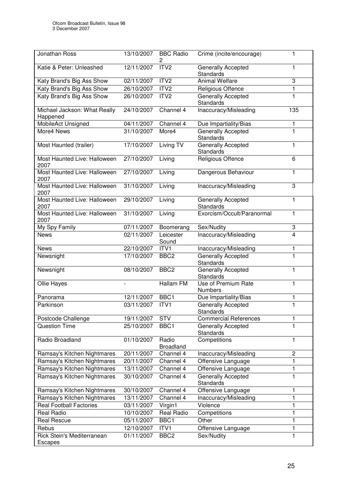| Jonathan Ross                            | 13/10/2007 | <b>BBC Radio</b><br>2     | Crime (incite/encourage)                      |              |
|------------------------------------------|------------|---------------------------|-----------------------------------------------|--------------|
| Katie & Peter: Unleashed                 | 12/11/2007 | ITV <sub>2</sub>          | Generally Accepted<br><b>Standards</b>        | 1            |
| Katy Brand's Big Ass Show                | 02/11/2007 | ITV <sub>2</sub>          | <b>Animal Welfare</b>                         | 3            |
| Katy Brand's Big Ass Show                | 26/10/2007 | ITV2                      | Religious Offence                             | 1            |
| Katy Brand's Big Ass Show                | 26/10/2007 | ITV <sub>2</sub>          | <b>Generally Accepted</b><br><b>Standards</b> | 1            |
| Michael Jackson: What Really<br>Happened | 24/10/2007 | Channel 4                 | Inaccuracy/Misleading                         | 135          |
| <b>MobileAct Unsigned</b>                | 04/11/2007 | Channel 4                 | Due Impartiality/Bias                         | 1            |
| More4 News                               | 31/10/2007 | More4                     | <b>Generally Accepted</b><br><b>Standards</b> | 1            |
| Most Haunted (trailer)                   | 17/10/2007 | Living TV                 | Generally Accepted<br><b>Standards</b>        | 1            |
| Most Haunted Live: Halloween<br>2007     | 27/10/2007 | Living                    | Religious Offence                             | 6            |
| Most Haunted Live: Halloween<br>2007     | 27/10/2007 | Living                    | Dangerous Behaviour                           | 1            |
| Most Haunted Live: Halloween<br>2007     | 31/10/2007 | Living                    | Inaccuracy/Misleading                         | 3            |
| Most Haunted Live: Halloween<br>2007     | 29/10/2007 | Living                    | Generally Accepted<br>Standards               | 1            |
| Most Haunted Live: Halloween<br>2007     | 31/10/2007 | Living                    | Exorcism/Occult/Paranormal                    | 1            |
| My Spy Family                            | 07/11/2007 | Boomerang                 | Sex/Nudity                                    | 3            |
| <b>News</b>                              | 02/11/2007 | Leicester<br>Sound        | Inaccuracy/Misleading                         | 4            |
| <b>News</b>                              | 22/10/2007 | ITV1                      | Inaccuracy/Misleading                         | 1            |
| Newsnight                                | 17/10/2007 | BBC <sub>2</sub>          | <b>Generally Accepted</b><br><b>Standards</b> | 1            |
| Newsnight                                | 08/10/2007 | BBC <sub>2</sub>          | Generally Accepted<br>Standards               | 1            |
| Ollie Hayes                              |            | Hallam FM                 | Use of Premium Rate<br><b>Numbers</b>         | 1            |
| Panorama                                 | 12/11/2007 | BBC1                      | Due Impartiality/Bias                         | 1            |
| Parkinson                                | 03/11/2007 | ITV1                      | Generally Accepted<br>Standards               | $\mathbf{1}$ |
| Postcode Challenge                       | 19/11/2007 | <b>STV</b>                | <b>Commercial References</b>                  | 1            |
| <b>Question Time</b>                     | 25/10/2007 | BBC1                      | Generally Accepted<br>Standards               | 1            |
| Radio Broadland                          | 01/10/2007 | Radio<br><b>Broadland</b> | Competitions                                  | 1            |
| Ramsay's Kitchen Nightmares              | 20/11/2007 | Channel 4                 | Inaccuracy/Misleading                         | 2            |
| Ramsay's Kitchen Nightmares              | 20/11/2007 | Channel 4                 | Offensive Language                            | 1            |
| Ramsay's Kitchen Nightmares              | 13/11/2007 | Channel 4                 | Offensive Language                            | 1            |
| Ramsay's Kitchen Nightmares              | 30/10/2007 | Channel 4                 | <b>Generally Accepted</b><br><b>Standards</b> | 1            |
| Ramsay's Kitchen Nightmares              | 30/10/2007 | Channel 4                 | Offensive Language                            | 1            |
| Ramsay's Kitchen Nightmares              | 13/11/2007 | Channel 4                 | Inaccuracy/Misleading                         | $\mathbf{1}$ |
| <b>Real Football Factories</b>           | 03/11/2007 | Virgin1                   | Violence                                      | 1            |
| Real Radio                               | 10/10/2007 | <b>Real Radio</b>         | Competitions                                  | 1            |
| <b>Real Rescue</b>                       | 05/11/2007 | BBC1                      | Other                                         | 1            |
| Rebus                                    | 12/10/2007 | ITV1                      | Offensive Language                            | $\mathbf{1}$ |
| Rick Stein's Mediterranean<br>Escapes    | 01/11/2007 | BBC <sub>2</sub>          | Sex/Nudity                                    | 1            |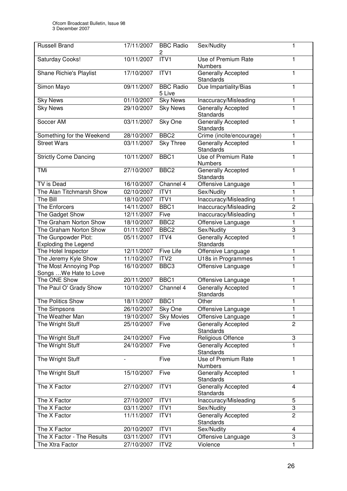| <b>Russell Brand</b>                            | 17/11/2007 | <b>BBC Radio</b><br>2      | Sex/Nudity                             | 1              |
|-------------------------------------------------|------------|----------------------------|----------------------------------------|----------------|
| Saturday Cooks!                                 | 10/11/2007 | ITV1                       | Use of Premium Rate<br><b>Numbers</b>  | 1              |
| Shane Richie's Playlist                         | 17/10/2007 | ITVI                       | Generally Accepted<br><b>Standards</b> | 1              |
| Simon Mayo                                      | 09/11/2007 | <b>BBC Radio</b><br>5 Live | Due Impartiality/Bias                  | $\mathbf{1}$   |
| <b>Sky News</b>                                 | 01/10/2007 | <b>Sky News</b>            | Inaccuracy/Misleading                  | 1              |
| <b>Sky News</b>                                 | 29/10/2007 | <b>Sky News</b>            | Generally Accepted<br>Standards        | 1              |
| Soccer AM                                       | 03/11/2007 | Sky One                    | Generally Accepted<br><b>Standards</b> | 1              |
| Something for the Weekend                       | 28/10/2007 | BBC <sub>2</sub>           | Crime (incite/encourage)               | 1              |
| <b>Street Wars</b>                              | 03/11/2007 | <b>Sky Three</b>           | Generally Accepted<br><b>Standards</b> | $\mathbf{1}$   |
| <b>Strictly Come Dancing</b>                    | 10/11/2007 | BBC1                       | Use of Premium Rate<br><b>Numbers</b>  | $\mathbf{1}$   |
| TMi                                             | 27/10/2007 | BBC <sub>2</sub>           | Generally Accepted<br>Standards        | 1              |
| TV is Dead                                      | 16/10/2007 | Channel 4                  | Offensive Language                     | 1              |
| The Alan Titchmarsh Show                        | 02/10/2007 | ITV1                       | Sex/Nudity                             | 1              |
| The Bill                                        | 18/10/2007 | ITVI                       | Inaccuracy/Misleading                  | 1              |
| The Enforcers                                   | 14/11/2007 | BBC1                       | Inaccuracy/Misleading                  | $\overline{2}$ |
| The Gadget Show                                 | 12/11/2007 | Five                       | Inaccuracy/Misleading                  | 1              |
| The Graham Norton Show                          | 18/10/2007 | BBC <sub>2</sub>           | Offensive Language                     | 1              |
| The Graham Norton Show                          | 01/11/2007 | BBC <sub>2</sub>           | Sex/Nudity                             | 3              |
| The Gunpowder Plot:                             | 05/11/2007 | ITV4                       | Generally Accepted                     | $\mathbf{1}$   |
| <b>Exploding the Legend</b>                     |            |                            | <b>Standards</b>                       |                |
| The Hotel Inspector                             | 12/11/2007 | Five Life                  | Offensive Language                     | $\mathbf{1}$   |
| The Jeremy Kyle Show                            | 11/10/2007 | ITV <sub>2</sub>           | U18s in Programmes                     | 1              |
| The Most Annoying Pop<br>Songs  We Hate to Love | 16/10/2007 | BBC <sub>3</sub>           | Offensive Language                     | $\mathbf{1}$   |
| The ONE Show                                    | 20/11/2007 | BBC1                       | Offensive Language                     | 1              |
| The Paul O' Grady Show                          | 10/10/2007 | Channel 4                  | Generally Accepted<br>Standards        | 1              |
| The Politics Show                               | 18/11/2007 | BBC <sub>1</sub>           | Other                                  | 1              |
| The Simpsons                                    | 26/10/2007 | Sky One                    | Offensive Language                     | 1              |
| The Weather Man                                 | 19/10/2007 | <b>Sky Movies</b>          | Offensive Language                     | $\mathbf{1}$   |
| The Wright Stuff                                | 25/10/2007 | Five                       | Generally Accepted<br>Standards        | $\overline{2}$ |
| The Wright Stuff                                | 24/10/2007 | Five                       | Religious Offence                      | 3              |
| The Wright Stuff                                | 24/10/2007 | Five                       | <b>Generally Accepted</b><br>Standards | 1              |
| The Wright Stuff                                |            | Five                       | <b>Use of Premium Rate</b><br>Numbers  | 1              |
| The Wright Stuff                                | 15/10/2007 | Five                       | Generally Accepted<br>Standards        | $\mathbf{1}$   |
| The X Factor                                    | 27/10/2007 | ITV1                       | Generally Accepted<br>Standards        | $\overline{4}$ |
| The X Factor                                    | 27/10/2007 | ITV1                       | Inaccuracy/Misleading                  | 5              |
| The X Factor                                    | 03/11/2007 | ITV1                       | Sex/Nudity                             | 3              |
| The X Factor                                    | 11/11/2007 | ITV1                       | Generally Accepted<br>Standards        | $\overline{2}$ |
| The X Factor                                    | 20/10/2007 | ITV1                       | Sex/Nudity                             | $\overline{4}$ |
| The X Factor - The Results                      | 03/11/2007 | ITV1                       | Offensive Language                     | 3              |
| The Xtra Factor                                 | 27/10/2007 | ITV <sub>2</sub>           | Violence                               | 1              |